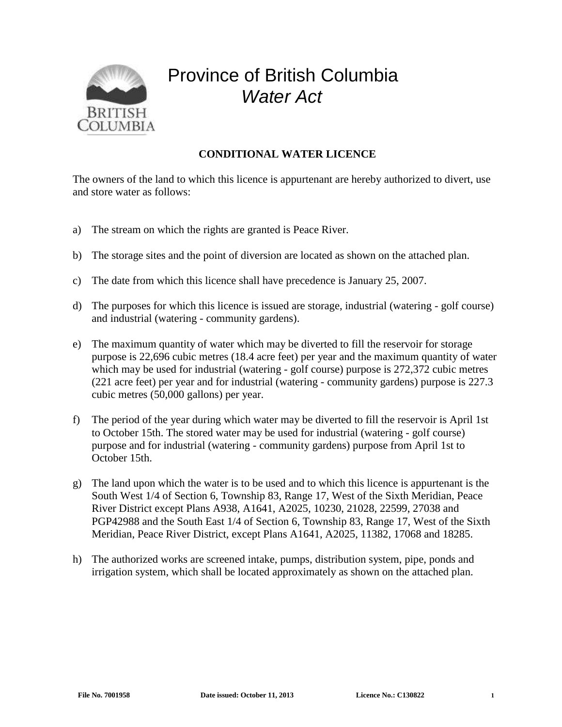

## Province of British Columbia *Water Act*

## **CONDITIONAL WATER LICENCE**

The owners of the land to which this licence is appurtenant are hereby authorized to divert, use and store water as follows:

- a) The stream on which the rights are granted is Peace River.
- b) The storage sites and the point of diversion are located as shown on the attached plan.
- c) The date from which this licence shall have precedence is January 25, 2007.
- d) The purposes for which this licence is issued are storage, industrial (watering golf course) and industrial (watering - community gardens).
- e) The maximum quantity of water which may be diverted to fill the reservoir for storage purpose is 22,696 cubic metres (18.4 acre feet) per year and the maximum quantity of water which may be used for industrial (watering - golf course) purpose is 272,372 cubic metres (221 acre feet) per year and for industrial (watering - community gardens) purpose is 227.3 cubic metres (50,000 gallons) per year.
- f) The period of the year during which water may be diverted to fill the reservoir is April 1st to October 15th. The stored water may be used for industrial (watering - golf course) purpose and for industrial (watering - community gardens) purpose from April 1st to October 15th.
- g) The land upon which the water is to be used and to which this licence is appurtenant is the South West 1/4 of Section 6, Township 83, Range 17, West of the Sixth Meridian, Peace River District except Plans A938, A1641, A2025, 10230, 21028, 22599, 27038 and PGP42988 and the South East 1/4 of Section 6, Township 83, Range 17, West of the Sixth Meridian, Peace River District, except Plans A1641, A2025, 11382, 17068 and 18285.
- h) The authorized works are screened intake, pumps, distribution system, pipe, ponds and irrigation system, which shall be located approximately as shown on the attached plan.